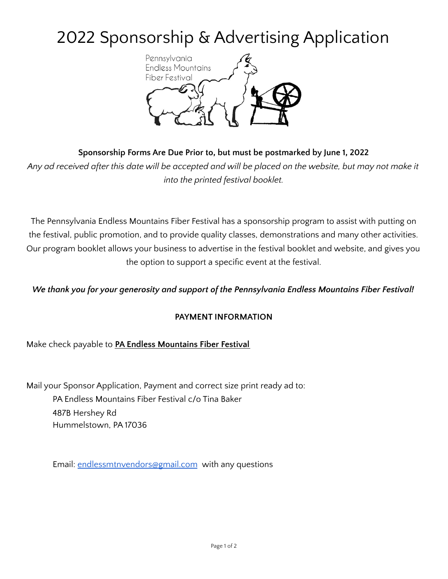# 2022 Sponsorship & Advertising Application



# **Sponsorship Forms Are Due Prior to, but must be postmarked by June 1, 2022**

Any ad received after this date will be accepted and will be placed on the website, but may not make it *into the printed festival booklet.*

The Pennsylvania Endless Mountains Fiber Festival has a sponsorship program to assist with putting on the festival, public promotion, and to provide quality classes, demonstrations and many other activities. Our program booklet allows your business to advertise in the festival booklet and website, and gives you the option to support a specific event at the festival.

# *We thank you for your generosity and support of the Pennsylvania Endless Mountains Fiber Festival!*

## **PAYMENT INFORMATION**

Make check payable to **PA Endless Mountains Fiber Festival**

Mail your Sponsor Application, Payment and correct size print ready ad to: PA Endless Mountains Fiber Festival c/o Tina Baker 487B Hershey Rd Hummelstown, PA 17036

Email: [endlessmtnvendors@gmail.com](mailto:endlessmtnvendors@gmail.com) with any questions